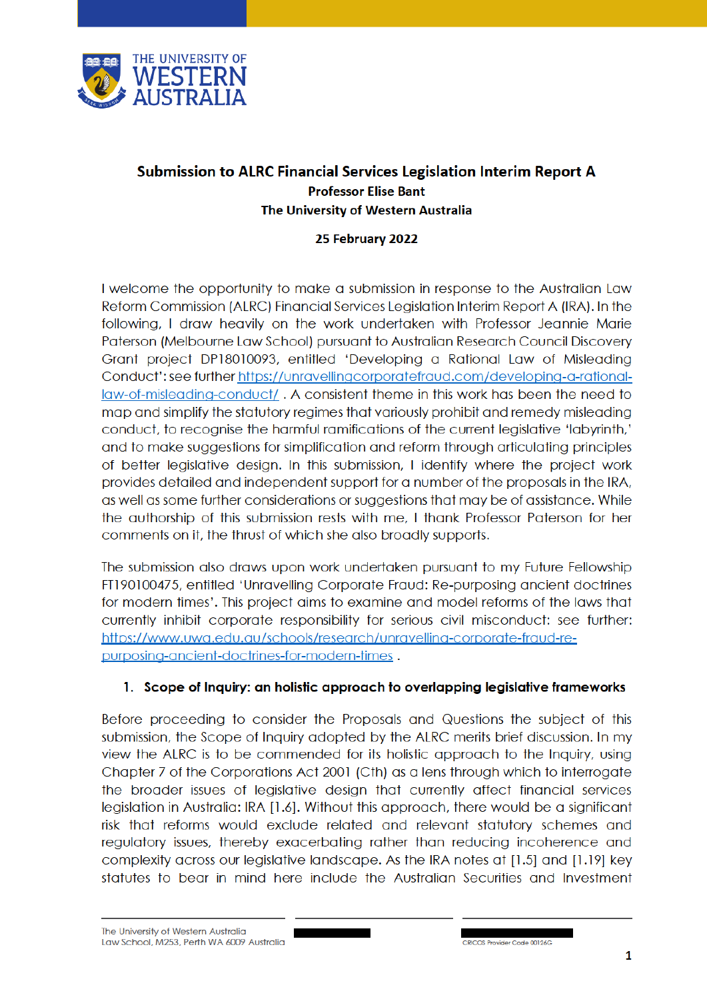

# Submission to ALRC Financial Services Legislation Interim Report A **Professor Elise Bant** The University of Western Australia

### 25 February 2022

I welcome the opportunity to make a submission in response to the Australian Law Reform Commission (ALRC) Financial Services Legislation Interim Report A (IRA). In the following, I draw heavily on the work undertaken with Professor Jeannie Marie Paterson (Melbourne Law School) pursuant to Australian Research Council Discovery Grant project DP18010093, entitled 'Developing a Rational Law of Misleading Conduct': see further https://unravellingcorporatefraud.com/developing-a-rationallaw-of-misleading-conduct/. A consistent theme in this work has been the need to map and simplify the statutory regimes that variously prohibit and remedy misleading conduct, to recognise the harmful ramifications of the current legislative 'labyrinth,' and to make suggestions for simplification and reform through articulating principles of better legislative design. In this submission, I identify where the project work provides detailed and independent support for a number of the proposals in the IRA, as well as some further considerations or suggestions that may be of assistance. While the authorship of this submission rests with me, I thank Professor Paterson for her comments on it, the thrust of which she also broadly supports.

The submission also draws upon work undertaken pursuant to my Future Fellowship FT190100475, entitled 'Unravelling Corporate Fraud: Re-purposing ancient doctrines for modern times'. This project aims to examine and model reforms of the laws that currently inhibit corporate responsibility for serious civil misconduct: see further: https://www.uwa.edu.au/schools/research/unravelling-corporate-fraud-repurposing-ancient-doctrines-for-modern-times.

### 1. Scope of Inquiry: an holistic approach to overlapping legislative frameworks

Before proceeding to consider the Proposals and Questions the subject of this submission, the Scope of Inquiry adopted by the ALRC merits brief discussion. In my view the ALRC is to be commended for its holistic approach to the Inquiry, using Chapter 7 of the Corporations Act 2001 (Cth) as a lens through which to interrogate the broader issues of legislative design that currently affect financial services legislation in Australia: IRA [1.6]. Without this approach, there would be a significant risk that reforms would exclude related and relevant statutory schemes and requiatory issues, thereby exacerbating rather than reducing incoherence and complexity across our legislative landscape. As the IRA notes at [1.5] and [1.19] key statutes to bear in mind here include the Australian Securities and Investment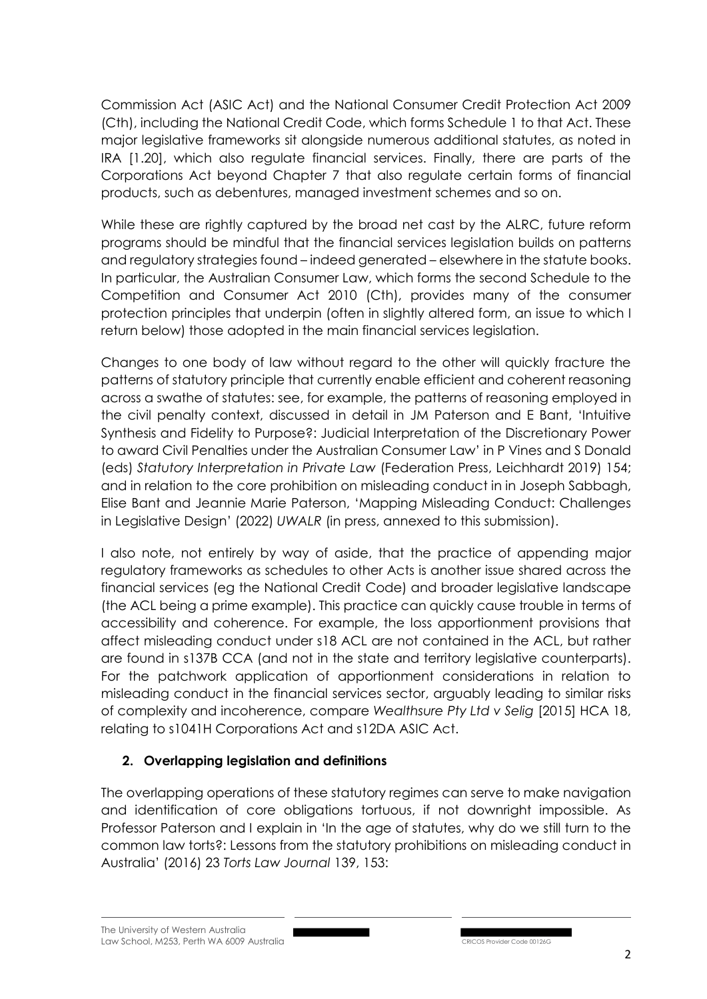Commission Act (ASIC Act) and the National Consumer Credit Protection Act 2009 (Cth), including the National Credit Code, which forms Schedule 1 to that Act. These major legislative frameworks sit alongside numerous additional statutes, as noted in IRA [1.20], which also regulate financial services. Finally, there are parts of the Corporations Act beyond Chapter 7 that also regulate certain forms of financial products, such as debentures, managed investment schemes and so on.

While these are rightly captured by the broad net cast by the ALRC, future reform programs should be mindful that the financial services legislation builds on patterns and regulatory strategies found – indeed generated – elsewhere in the statute books. In particular, the Australian Consumer Law, which forms the second Schedule to the Competition and Consumer Act 2010 (Cth), provides many of the consumer protection principles that underpin (often in slightly altered form, an issue to which I return below) those adopted in the main financial services legislation.

Changes to one body of law without regard to the other will quickly fracture the patterns of statutory principle that currently enable efficient and coherent reasoning across a swathe of statutes: see, for example, the patterns of reasoning employed in the civil penalty context, discussed in detail in JM Paterson and E Bant, 'Intuitive Synthesis and Fidelity to Purpose?: Judicial Interpretation of the Discretionary Power to award Civil Penalties under the Australian Consumer Law' in P Vines and S Donald (eds) *Statutory Interpretation in Private Law* (Federation Press, Leichhardt 2019) 154; and in relation to the core prohibition on misleading conduct in in Joseph Sabbagh, Elise Bant and Jeannie Marie Paterson, 'Mapping Misleading Conduct: Challenges in Legislative Design' (2022) *UWALR* (in press, annexed to this submission).

I also note, not entirely by way of aside, that the practice of appending major regulatory frameworks as schedules to other Acts is another issue shared across the financial services (eg the National Credit Code) and broader legislative landscape (the ACL being a prime example). This practice can quickly cause trouble in terms of accessibility and coherence. For example, the loss apportionment provisions that affect misleading conduct under s18 ACL are not contained in the ACL, but rather are found in s137B CCA (and not in the state and territory legislative counterparts). For the patchwork application of apportionment considerations in relation to misleading conduct in the financial services sector, arguably leading to similar risks of complexity and incoherence, compare *Wealthsure Pty Ltd v Selig* [2015] HCA 18, relating to s1041H Corporations Act and s12DA ASIC Act.

# **2. Overlapping legislation and definitions**

The overlapping operations of these statutory regimes can serve to make navigation and identification of core obligations tortuous, if not downright impossible. As Professor Paterson and I explain in 'In the age of statutes, why do we still turn to the common law torts?: Lessons from the statutory prohibitions on misleading conduct in Australia' (2016) 23 *Torts Law Journal* 139, 153: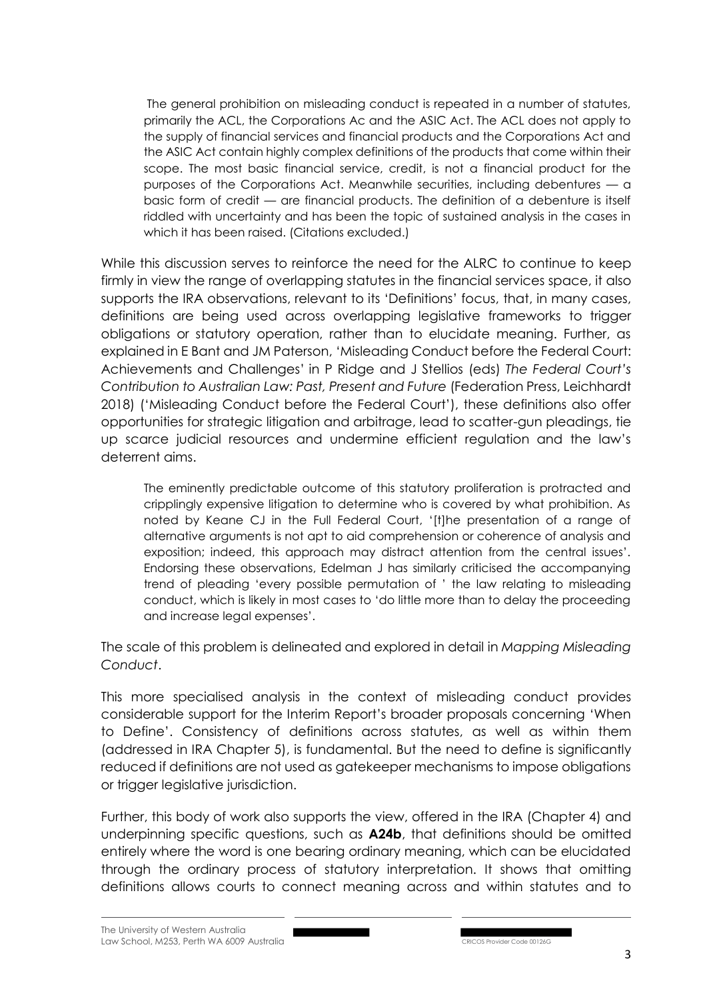The general prohibition on misleading conduct is repeated in a number of statutes, primarily the ACL, the Corporations Ac and the ASIC Act. The ACL does not apply to the supply of financial services and financial products and the Corporations Act and the ASIC Act contain highly complex definitions of the products that come within their scope. The most basic financial service, credit, is not a financial product for the purposes of the Corporations Act. Meanwhile securities, including debentures — a basic form of credit — are financial products. The definition of a debenture is itself riddled with uncertainty and has been the topic of sustained analysis in the cases in which it has been raised. (Citations excluded.)

While this discussion serves to reinforce the need for the ALRC to continue to keep firmly in view the range of overlapping statutes in the financial services space, it also supports the IRA observations, relevant to its 'Definitions' focus, that, in many cases, definitions are being used across overlapping legislative frameworks to trigger obligations or statutory operation, rather than to elucidate meaning. Further, as explained in E Bant and JM Paterson, 'Misleading Conduct before the Federal Court: Achievements and Challenges' in P Ridge and J Stellios (eds) *The Federal Court's Contribution to Australian Law: Past, Present and Future* (Federation Press, Leichhardt 2018) ('Misleading Conduct before the Federal Court'), these definitions also offer opportunities for strategic litigation and arbitrage, lead to scatter-gun pleadings, tie up scarce judicial resources and undermine efficient regulation and the law's deterrent aims.

The eminently predictable outcome of this statutory proliferation is protracted and cripplingly expensive litigation to determine who is covered by what prohibition. As noted by Keane CJ in the Full Federal Court, '[t]he presentation of a range of alternative arguments is not apt to aid comprehension or coherence of analysis and exposition; indeed, this approach may distract attention from the central issues'. Endorsing these observations, Edelman J has similarly criticised the accompanying trend of pleading 'every possible permutation of ' the law relating to misleading conduct, which is likely in most cases to 'do little more than to delay the proceeding and increase legal expenses'.

The scale of this problem is delineated and explored in detail in *Mapping Misleading Conduct*.

This more specialised analysis in the context of misleading conduct provides considerable support for the Interim Report's broader proposals concerning 'When to Define'. Consistency of definitions across statutes, as well as within them (addressed in IRA Chapter 5), is fundamental. But the need to define is significantly reduced if definitions are not used as gatekeeper mechanisms to impose obligations or trigger legislative jurisdiction.

Further, this body of work also supports the view, offered in the IRA (Chapter 4) and underpinning specific questions, such as **A24b**, that definitions should be omitted entirely where the word is one bearing ordinary meaning, which can be elucidated through the ordinary process of statutory interpretation. It shows that omitting definitions allows courts to connect meaning across and within statutes and to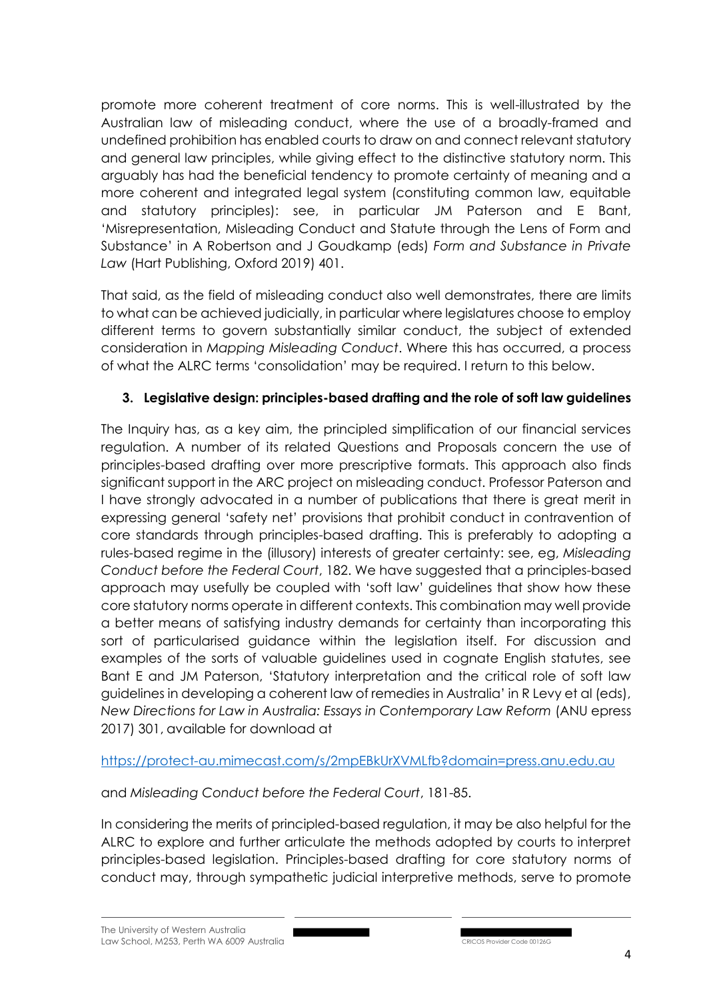promote more coherent treatment of core norms. This is well-illustrated by the Australian law of misleading conduct, where the use of a broadly-framed and undefined prohibition has enabled courts to draw on and connect relevant statutory and general law principles, while giving effect to the distinctive statutory norm. This arguably has had the beneficial tendency to promote certainty of meaning and a more coherent and integrated legal system (constituting common law, equitable and statutory principles): see, in particular JM Paterson and E Bant, 'Misrepresentation, Misleading Conduct and Statute through the Lens of Form and Substance' in A Robertson and J Goudkamp (eds) *Form and Substance in Private Law* (Hart Publishing, Oxford 2019) 401.

That said, as the field of misleading conduct also well demonstrates, there are limits to what can be achieved judicially, in particular where legislatures choose to employ different terms to govern substantially similar conduct, the subject of extended consideration in *Mapping Misleading Conduct*. Where this has occurred, a process of what the ALRC terms 'consolidation' may be required. I return to this below.

## **3. Legislative design: principles-based drafting and the role of soft law guidelines**

The Inquiry has, as a key aim, the principled simplification of our financial services regulation. A number of its related Questions and Proposals concern the use of principles-based drafting over more prescriptive formats. This approach also finds significant support in the ARC project on misleading conduct. Professor Paterson and I have strongly advocated in a number of publications that there is great merit in expressing general 'safety net' provisions that prohibit conduct in contravention of core standards through principles-based drafting. This is preferably to adopting a rules-based regime in the (illusory) interests of greater certainty: see, eg, *Misleading Conduct before the Federal Court*, 182. We have suggested that a principles-based approach may usefully be coupled with 'soft law' guidelines that show how these core statutory norms operate in different contexts. This combination may well provide a better means of satisfying industry demands for certainty than incorporating this sort of particularised guidance within the legislation itself. For discussion and examples of the sorts of valuable guidelines used in cognate English statutes, see Bant E and JM Paterson, 'Statutory interpretation and the critical role of soft law guidelines in developing a coherent law of remedies in Australia' in R Levy et al (eds), *New Directions for Law in Australia: Essays in Contemporary Law Reform* (ANU epress 2017) 301, available for download at

## https://protect-au.mimecast.com/s/2mpEBkUrXVMLfb?domain=press.anu.edu.au

## and *Misleading Conduct before the Federal Court*, 181-85.

In considering the merits of principled-based regulation, it may be also helpful for the ALRC to explore and further articulate the methods adopted by courts to interpret principles-based legislation. Principles-based drafting for core statutory norms of conduct may, through sympathetic judicial interpretive methods, serve to promote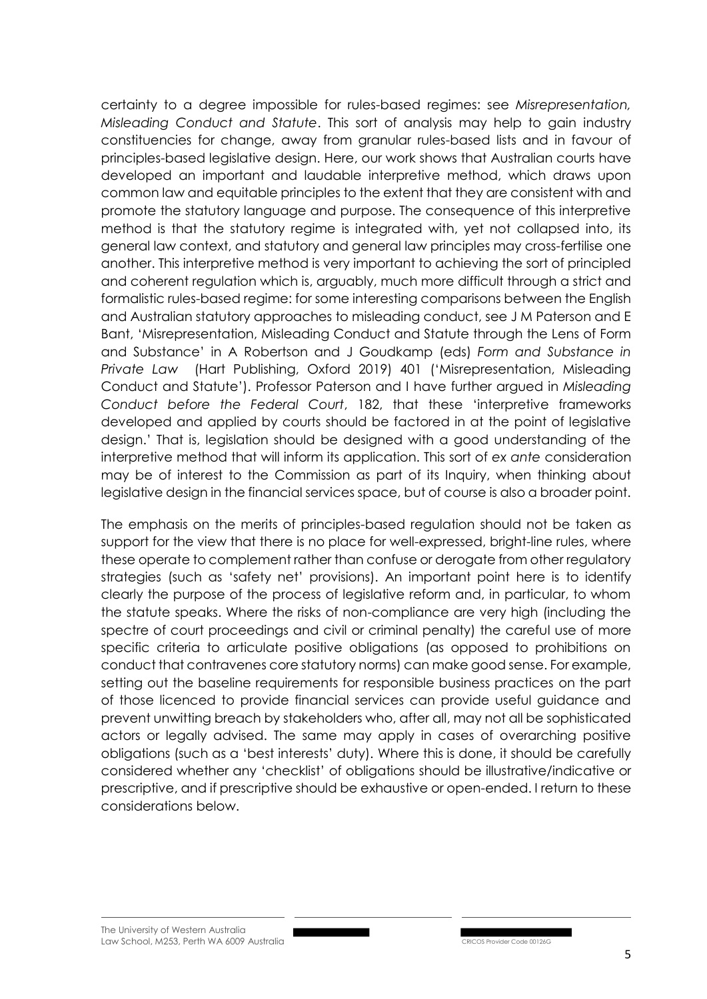certainty to a degree impossible for rules-based regimes: see *Misrepresentation, Misleading Conduct and Statute*. This sort of analysis may help to gain industry constituencies for change, away from granular rules-based lists and in favour of principles-based legislative design. Here, our work shows that Australian courts have developed an important and laudable interpretive method, which draws upon common law and equitable principles to the extent that they are consistent with and promote the statutory language and purpose. The consequence of this interpretive method is that the statutory regime is integrated with, yet not collapsed into, its general law context, and statutory and general law principles may cross-fertilise one another. This interpretive method is very important to achieving the sort of principled and coherent regulation which is, arguably, much more difficult through a strict and formalistic rules-based regime: for some interesting comparisons between the English and Australian statutory approaches to misleading conduct, see J M Paterson and E Bant, 'Misrepresentation, Misleading Conduct and Statute through the Lens of Form and Substance' in A Robertson and J Goudkamp (eds) *Form and Substance in Private Law* (Hart Publishing, Oxford 2019) 401 ('Misrepresentation, Misleading Conduct and Statute'). Professor Paterson and I have further argued in *Misleading Conduct before the Federal Court*, 182, that these 'interpretive frameworks developed and applied by courts should be factored in at the point of legislative design.' That is, legislation should be designed with a good understanding of the interpretive method that will inform its application. This sort of *ex ante* consideration may be of interest to the Commission as part of its Inquiry, when thinking about legislative design in the financial services space, but of course is also a broader point.

The emphasis on the merits of principles-based regulation should not be taken as support for the view that there is no place for well-expressed, bright-line rules, where these operate to complement rather than confuse or derogate from other regulatory strategies (such as 'safety net' provisions). An important point here is to identify clearly the purpose of the process of legislative reform and, in particular, to whom the statute speaks. Where the risks of non-compliance are very high (including the spectre of court proceedings and civil or criminal penalty) the careful use of more specific criteria to articulate positive obligations (as opposed to prohibitions on conduct that contravenes core statutory norms) can make good sense. For example, setting out the baseline requirements for responsible business practices on the part of those licenced to provide financial services can provide useful guidance and prevent unwitting breach by stakeholders who, after all, may not all be sophisticated actors or legally advised. The same may apply in cases of overarching positive obligations (such as a 'best interests' duty). Where this is done, it should be carefully considered whether any 'checklist' of obligations should be illustrative/indicative or prescriptive, and if prescriptive should be exhaustive or open-ended. I return to these considerations below.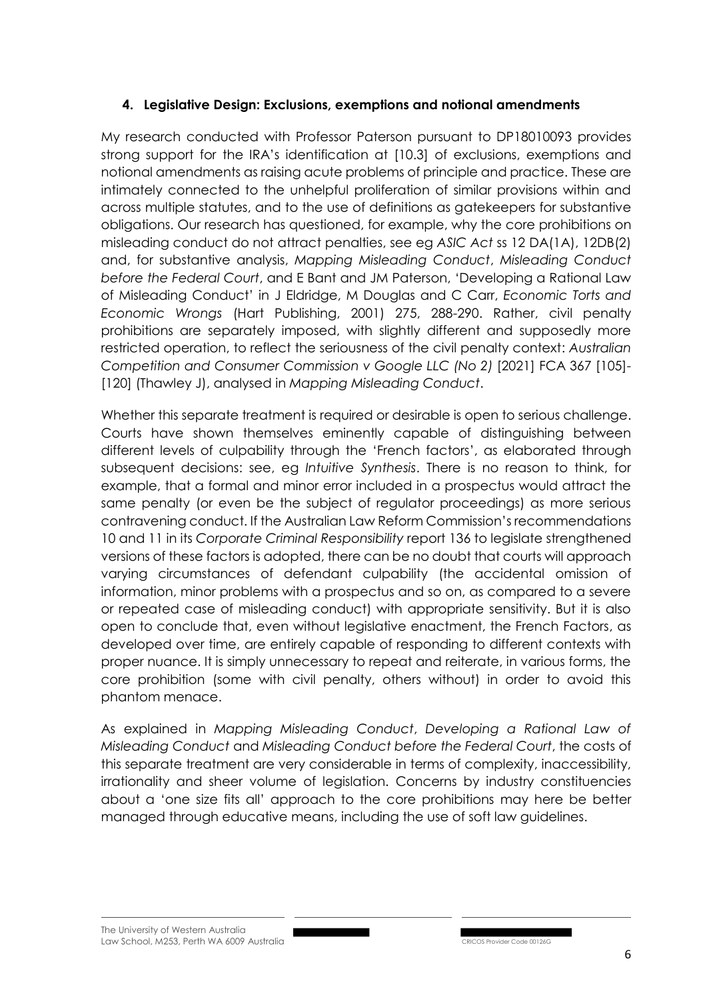### **4. Legislative Design: Exclusions, exemptions and notional amendments**

My research conducted with Professor Paterson pursuant to DP18010093 provides strong support for the IRA's identification at [10.3] of exclusions, exemptions and notional amendments as raising acute problems of principle and practice. These are intimately connected to the unhelpful proliferation of similar provisions within and across multiple statutes, and to the use of definitions as gatekeepers for substantive obligations. Our research has questioned, for example, why the core prohibitions on misleading conduct do not attract penalties, see eg *ASIC Act* ss 12 DA(1A), 12DB(2) and, for substantive analysis, *Mapping Misleading Conduct*, *Misleading Conduct before the Federal Court*, and E Bant and JM Paterson, 'Developing a Rational Law of Misleading Conduct' in J Eldridge, M Douglas and C Carr, *Economic Torts and Economic Wrongs* (Hart Publishing, 2001) 275, 288-290. Rather, civil penalty prohibitions are separately imposed, with slightly different and supposedly more restricted operation, to reflect the seriousness of the civil penalty context: *Australian Competition and Consumer Commission v Google LLC (No 2)* [2021] FCA 367 [105]- [120] (Thawley J), analysed in *Mapping Misleading Conduct*.

Whether this separate treatment is required or desirable is open to serious challenge. Courts have shown themselves eminently capable of distinguishing between different levels of culpability through the 'French factors', as elaborated through subsequent decisions: see, eg *Intuitive Synthesis*. There is no reason to think, for example, that a formal and minor error included in a prospectus would attract the same penalty (or even be the subject of regulator proceedings) as more serious contravening conduct. If the Australian Law Reform Commission's recommendations 10 and 11 in its *Corporate Criminal Responsibility* report 136 to legislate strengthened versions of these factors is adopted, there can be no doubt that courts will approach varying circumstances of defendant culpability (the accidental omission of information, minor problems with a prospectus and so on, as compared to a severe or repeated case of misleading conduct) with appropriate sensitivity. But it is also open to conclude that, even without legislative enactment, the French Factors, as developed over time, are entirely capable of responding to different contexts with proper nuance. It is simply unnecessary to repeat and reiterate, in various forms, the core prohibition (some with civil penalty, others without) in order to avoid this phantom menace.

As explained in *Mapping Misleading Conduct*, *Developing a Rational Law of Misleading Conduct* and *Misleading Conduct before the Federal Court*, the costs of this separate treatment are very considerable in terms of complexity, inaccessibility, irrationality and sheer volume of legislation. Concerns by industry constituencies about a 'one size fits all' approach to the core prohibitions may here be better managed through educative means, including the use of soft law guidelines.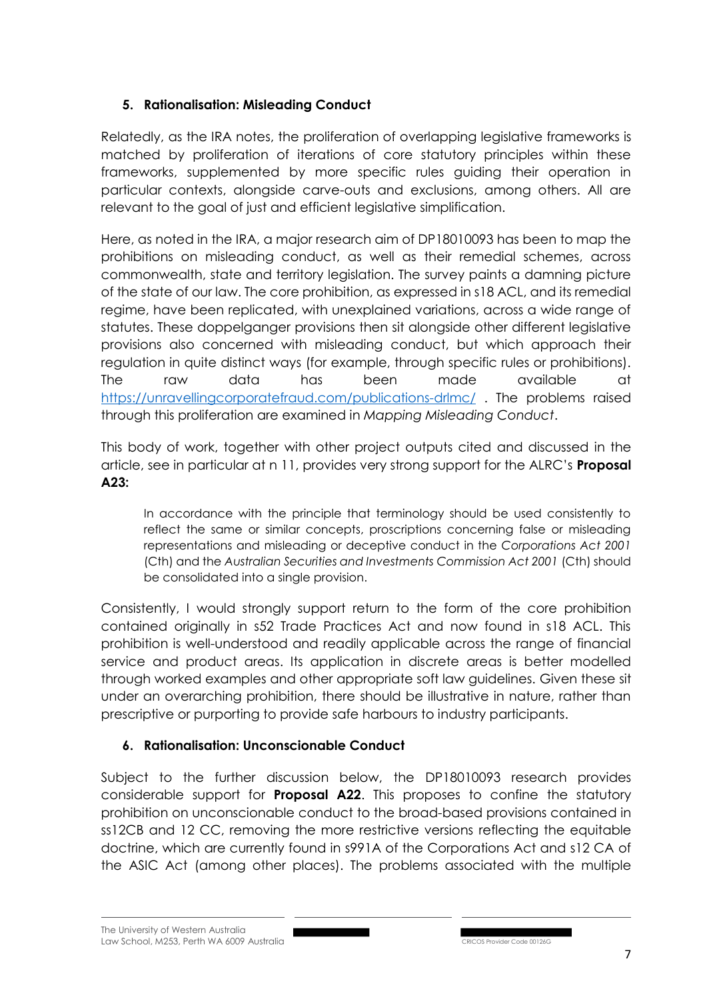# **5. Rationalisation: Misleading Conduct**

Relatedly, as the IRA notes, the proliferation of overlapping legislative frameworks is matched by proliferation of iterations of core statutory principles within these frameworks, supplemented by more specific rules guiding their operation in particular contexts, alongside carve-outs and exclusions, among others. All are relevant to the goal of just and efficient legislative simplification.

Here, as noted in the IRA, a major research aim of DP18010093 has been to map the prohibitions on misleading conduct, as well as their remedial schemes, across commonwealth, state and territory legislation. The survey paints a damning picture of the state of our law. The core prohibition, as expressed in s18 ACL, and its remedial regime, have been replicated, with unexplained variations, across a wide range of statutes. These doppelganger provisions then sit alongside other different legislative provisions also concerned with misleading conduct, but which approach their regulation in quite distinct ways (for example, through specific rules or prohibitions). The raw data has been made available at https://unravellingcorporatefraud.com/publications-drlmc/ . The problems raised through this proliferation are examined in *Mapping Misleading Conduct*.

This body of work, together with other project outputs cited and discussed in the article, see in particular at n 11, provides very strong support for the ALRC's **Proposal A23:** 

In accordance with the principle that terminology should be used consistently to reflect the same or similar concepts, proscriptions concerning false or misleading representations and misleading or deceptive conduct in the *Corporations Act 2001*  (Cth) and the *Australian Securities and Investments Commission Act 2001* (Cth) should be consolidated into a single provision.

Consistently, I would strongly support return to the form of the core prohibition contained originally in s52 Trade Practices Act and now found in s18 ACL. This prohibition is well-understood and readily applicable across the range of financial service and product areas. Its application in discrete areas is better modelled through worked examples and other appropriate soft law guidelines. Given these sit under an overarching prohibition, there should be illustrative in nature, rather than prescriptive or purporting to provide safe harbours to industry participants.

# **6. Rationalisation: Unconscionable Conduct**

Subject to the further discussion below, the DP18010093 research provides considerable support for **Proposal A22**. This proposes to confine the statutory prohibition on unconscionable conduct to the broad-based provisions contained in ss12CB and 12 CC, removing the more restrictive versions reflecting the equitable doctrine, which are currently found in s991A of the Corporations Act and s12 CA of the ASIC Act (among other places). The problems associated with the multiple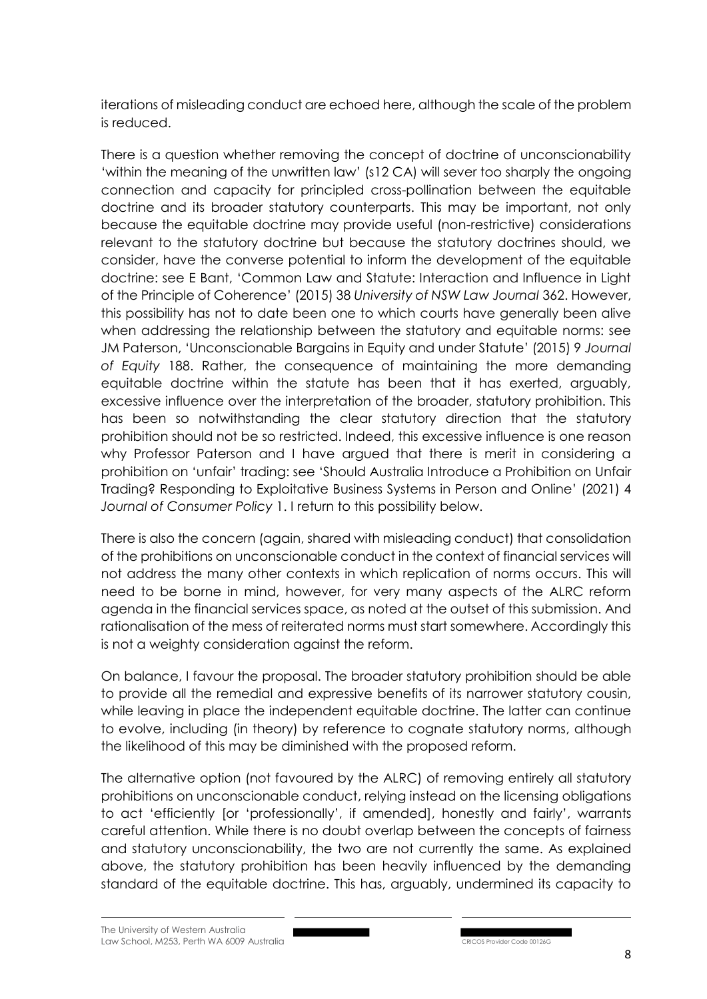iterations of misleading conduct are echoed here, although the scale of the problem is reduced.

There is a question whether removing the concept of doctrine of unconscionability 'within the meaning of the unwritten law' (s12 CA) will sever too sharply the ongoing connection and capacity for principled cross-pollination between the equitable doctrine and its broader statutory counterparts. This may be important, not only because the equitable doctrine may provide useful (non-restrictive) considerations relevant to the statutory doctrine but because the statutory doctrines should, we consider, have the converse potential to inform the development of the equitable doctrine: see E Bant, 'Common Law and Statute: Interaction and Influence in Light of the Principle of Coherence' (2015) 38 *University of NSW Law Journal* 362. However, this possibility has not to date been one to which courts have generally been alive when addressing the relationship between the statutory and equitable norms: see JM Paterson, 'Unconscionable Bargains in Equity and under Statute' (2015) 9 *Journal of Equity* 188. Rather, the consequence of maintaining the more demanding equitable doctrine within the statute has been that it has exerted, arguably, excessive influence over the interpretation of the broader, statutory prohibition. This has been so notwithstanding the clear statutory direction that the statutory prohibition should not be so restricted. Indeed, this excessive influence is one reason why Professor Paterson and I have argued that there is merit in considering a prohibition on 'unfair' trading: see 'Should Australia Introduce a Prohibition on Unfair Trading? Responding to Exploitative Business Systems in Person and Online' (2021) 4 *Journal of Consumer Policy* 1. I return to this possibility below.

There is also the concern (again, shared with misleading conduct) that consolidation of the prohibitions on unconscionable conduct in the context of financial services will not address the many other contexts in which replication of norms occurs. This will need to be borne in mind, however, for very many aspects of the ALRC reform agenda in the financial services space, as noted at the outset of this submission. And rationalisation of the mess of reiterated norms must start somewhere. Accordingly this is not a weighty consideration against the reform.

On balance, I favour the proposal. The broader statutory prohibition should be able to provide all the remedial and expressive benefits of its narrower statutory cousin, while leaving in place the independent equitable doctrine. The latter can continue to evolve, including (in theory) by reference to cognate statutory norms, although the likelihood of this may be diminished with the proposed reform.

The alternative option (not favoured by the ALRC) of removing entirely all statutory prohibitions on unconscionable conduct, relying instead on the licensing obligations to act 'efficiently [or 'professionally', if amended], honestly and fairly', warrants careful attention. While there is no doubt overlap between the concepts of fairness and statutory unconscionability, the two are not currently the same. As explained above, the statutory prohibition has been heavily influenced by the demanding standard of the equitable doctrine. This has, arguably, undermined its capacity to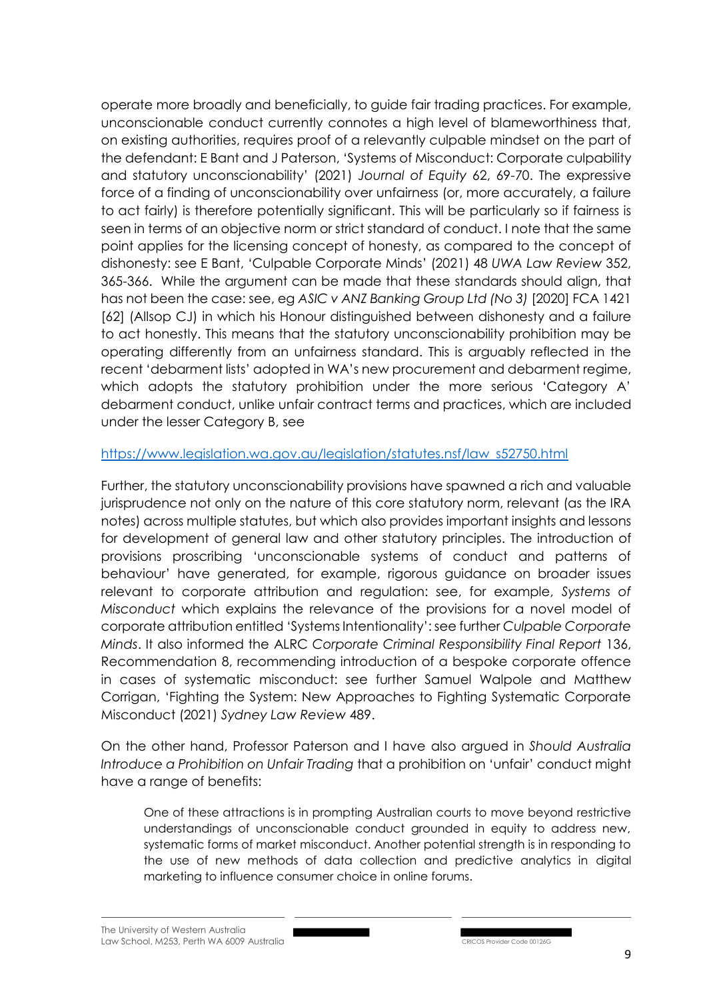operate more broadly and beneficially, to guide fair trading practices. For example, unconscionable conduct currently connotes a high level of blameworthiness that, on existing authorities, requires proof of a relevantly culpable mindset on the part of the defendant: E Bant and J Paterson, 'Systems of Misconduct: Corporate culpability and statutory unconscionability' (2021) *Journal of Equity* 62, 69-70. The expressive force of a finding of unconscionability over unfairness (or, more accurately, a failure to act fairly) is therefore potentially significant. This will be particularly so if fairness is seen in terms of an objective norm or strict standard of conduct. I note that the same point applies for the licensing concept of honesty, as compared to the concept of dishonesty: see E Bant, 'Culpable Corporate Minds' (2021) 48 *UWA Law Review* 352, 365-366. While the argument can be made that these standards should align, that has not been the case: see, eg *ASIC v ANZ Banking Group Ltd (No 3)* [2020] FCA 1421 [62] (Allsop CJ) in which his Honour distinguished between dishonesty and a failure to act honestly. This means that the statutory unconscionability prohibition may be operating differently from an unfairness standard. This is arguably reflected in the recent 'debarment lists' adopted in WA's new procurement and debarment regime, which adopts the statutory prohibition under the more serious 'Category A' debarment conduct, unlike unfair contract terms and practices, which are included under the lesser Category B, see

### https://www.legislation.wa.gov.au/legislation/statutes.nsf/law s52750.html

Further, the statutory unconscionability provisions have spawned a rich and valuable jurisprudence not only on the nature of this core statutory norm, relevant (as the IRA notes) across multiple statutes, but which also provides important insights and lessons for development of general law and other statutory principles. The introduction of provisions proscribing 'unconscionable systems of conduct and patterns of behaviour' have generated, for example, rigorous guidance on broader issues relevant to corporate attribution and regulation: see, for example, *Systems of Misconduct* which explains the relevance of the provisions for a novel model of corporate attribution entitled 'Systems Intentionality': see further *Culpable Corporate Minds*. It also informed the ALRC *Corporate Criminal Responsibility Final Report* 136, Recommendation 8, recommending introduction of a bespoke corporate offence in cases of systematic misconduct: see further Samuel Walpole and Matthew Corrigan, 'Fighting the System: New Approaches to Fighting Systematic Corporate Misconduct (2021) *Sydney Law Review* 489.

On the other hand, Professor Paterson and I have also argued in *Should Australia Introduce a Prohibition on Unfair Trading* that a prohibition on 'unfair' conduct might have a range of benefits:

One of these attractions is in prompting Australian courts to move beyond restrictive understandings of unconscionable conduct grounded in equity to address new, systematic forms of market misconduct. Another potential strength is in responding to the use of new methods of data collection and predictive analytics in digital marketing to influence consumer choice in online forums.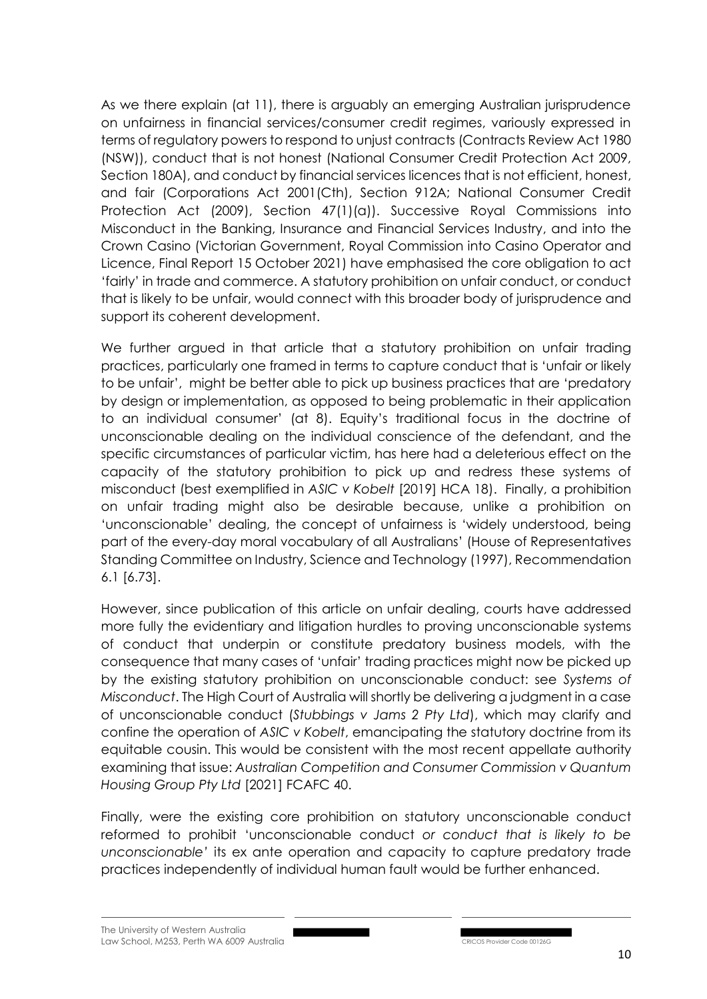As we there explain (at 11), there is arguably an emerging Australian jurisprudence on unfairness in financial services/consumer credit regimes, variously expressed in terms of regulatory powers to respond to unjust contracts (Contracts Review Act 1980 (NSW)), conduct that is not honest (National Consumer Credit Protection Act 2009, Section 180A), and conduct by financial services licences that is not efficient, honest, and fair (Corporations Act 2001(Cth), Section 912A; National Consumer Credit Protection Act (2009), Section 47(1)(a)). Successive Royal Commissions into Misconduct in the Banking, Insurance and Financial Services Industry, and into the Crown Casino (Victorian Government, Royal Commission into Casino Operator and Licence, Final Report 15 October 2021) have emphasised the core obligation to act 'fairly' in trade and commerce. A statutory prohibition on unfair conduct, or conduct that is likely to be unfair, would connect with this broader body of jurisprudence and support its coherent development.

We further argued in that article that a statutory prohibition on unfair trading practices, particularly one framed in terms to capture conduct that is 'unfair or likely to be unfair', might be better able to pick up business practices that are 'predatory by design or implementation, as opposed to being problematic in their application to an individual consumer' (at 8). Equity's traditional focus in the doctrine of unconscionable dealing on the individual conscience of the defendant, and the specific circumstances of particular victim, has here had a deleterious effect on the capacity of the statutory prohibition to pick up and redress these systems of misconduct (best exemplified in *ASIC v Kobelt* [2019] HCA 18). Finally, a prohibition on unfair trading might also be desirable because, unlike a prohibition on 'unconscionable' dealing, the concept of unfairness is 'widely understood, being part of the every-day moral vocabulary of all Australians' (House of Representatives Standing Committee on Industry, Science and Technology (1997), Recommendation 6.1 [6.73].

However, since publication of this article on unfair dealing, courts have addressed more fully the evidentiary and litigation hurdles to proving unconscionable systems of conduct that underpin or constitute predatory business models, with the consequence that many cases of 'unfair' trading practices might now be picked up by the existing statutory prohibition on unconscionable conduct: see *Systems of Misconduct*. The High Court of Australia will shortly be delivering a judgment in a case of unconscionable conduct (*Stubbings v Jams 2 Pty Ltd*), which may clarify and confine the operation of *ASIC v Kobelt*, emancipating the statutory doctrine from its equitable cousin. This would be consistent with the most recent appellate authority examining that issue: *Australian Competition and Consumer Commission v Quantum Housing Group Pty Ltd* [2021] FCAFC 40.

Finally, were the existing core prohibition on statutory unconscionable conduct reformed to prohibit 'unconscionable conduct *or conduct that is likely to be unconscionable'* its ex ante operation and capacity to capture predatory trade practices independently of individual human fault would be further enhanced.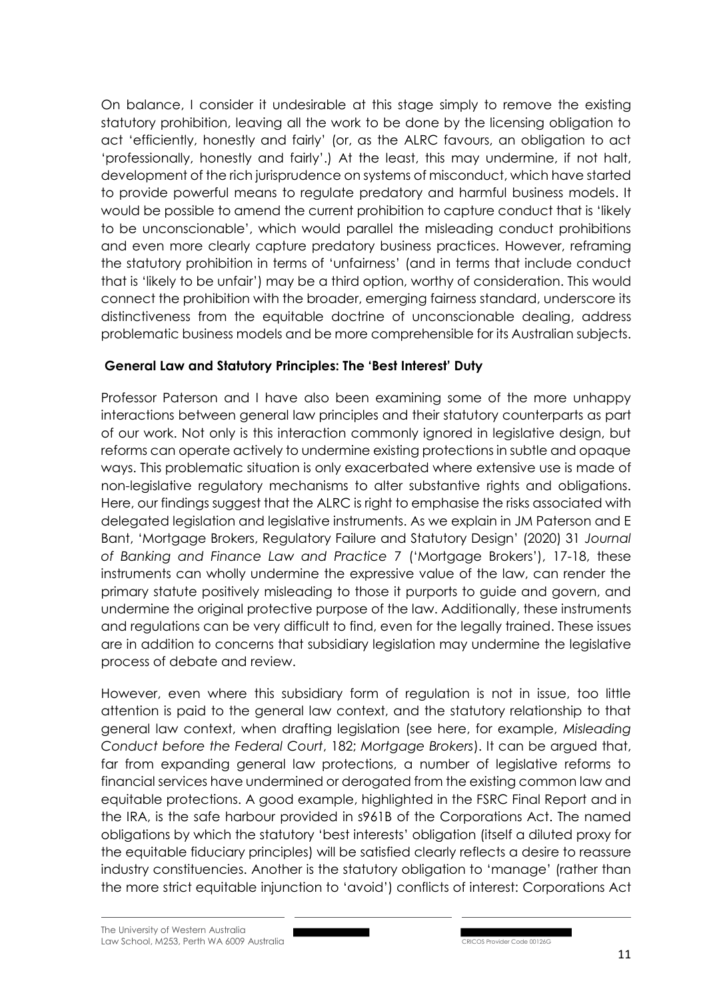On balance, I consider it undesirable at this stage simply to remove the existing statutory prohibition, leaving all the work to be done by the licensing obligation to act 'efficiently, honestly and fairly' (or, as the ALRC favours, an obligation to act 'professionally, honestly and fairly'.) At the least, this may undermine, if not halt, development of the rich jurisprudence on systems of misconduct, which have started to provide powerful means to regulate predatory and harmful business models. It would be possible to amend the current prohibition to capture conduct that is 'likely to be unconscionable', which would parallel the misleading conduct prohibitions and even more clearly capture predatory business practices. However, reframing the statutory prohibition in terms of 'unfairness' (and in terms that include conduct that is 'likely to be unfair') may be a third option, worthy of consideration. This would connect the prohibition with the broader, emerging fairness standard, underscore its distinctiveness from the equitable doctrine of unconscionable dealing, address problematic business models and be more comprehensible for its Australian subjects.

### **General Law and Statutory Principles: The 'Best Interest' Duty**

Professor Paterson and I have also been examining some of the more unhappy interactions between general law principles and their statutory counterparts as part of our work. Not only is this interaction commonly ignored in legislative design, but reforms can operate actively to undermine existing protections in subtle and opaque ways. This problematic situation is only exacerbated where extensive use is made of non-legislative regulatory mechanisms to alter substantive rights and obligations. Here, our findings suggest that the ALRC is right to emphasise the risks associated with delegated legislation and legislative instruments. As we explain in JM Paterson and E Bant, 'Mortgage Brokers, Regulatory Failure and Statutory Design' (2020) 31 *Journal of Banking and Finance Law and Practice* 7 ('Mortgage Brokers'), 17-18, these instruments can wholly undermine the expressive value of the law, can render the primary statute positively misleading to those it purports to guide and govern, and undermine the original protective purpose of the law. Additionally, these instruments and regulations can be very difficult to find, even for the legally trained. These issues are in addition to concerns that subsidiary legislation may undermine the legislative process of debate and review.

However, even where this subsidiary form of regulation is not in issue, too little attention is paid to the general law context, and the statutory relationship to that general law context, when drafting legislation (see here, for example, *Misleading Conduct before the Federal Court*, 182; *Mortgage Brokers*). It can be argued that, far from expanding general law protections, a number of legislative reforms to financial services have undermined or derogated from the existing common law and equitable protections. A good example, highlighted in the FSRC Final Report and in the IRA, is the safe harbour provided in s961B of the Corporations Act. The named obligations by which the statutory 'best interests' obligation (itself a diluted proxy for the equitable fiduciary principles) will be satisfied clearly reflects a desire to reassure industry constituencies. Another is the statutory obligation to 'manage' (rather than the more strict equitable injunction to 'avoid') conflicts of interest: Corporations Act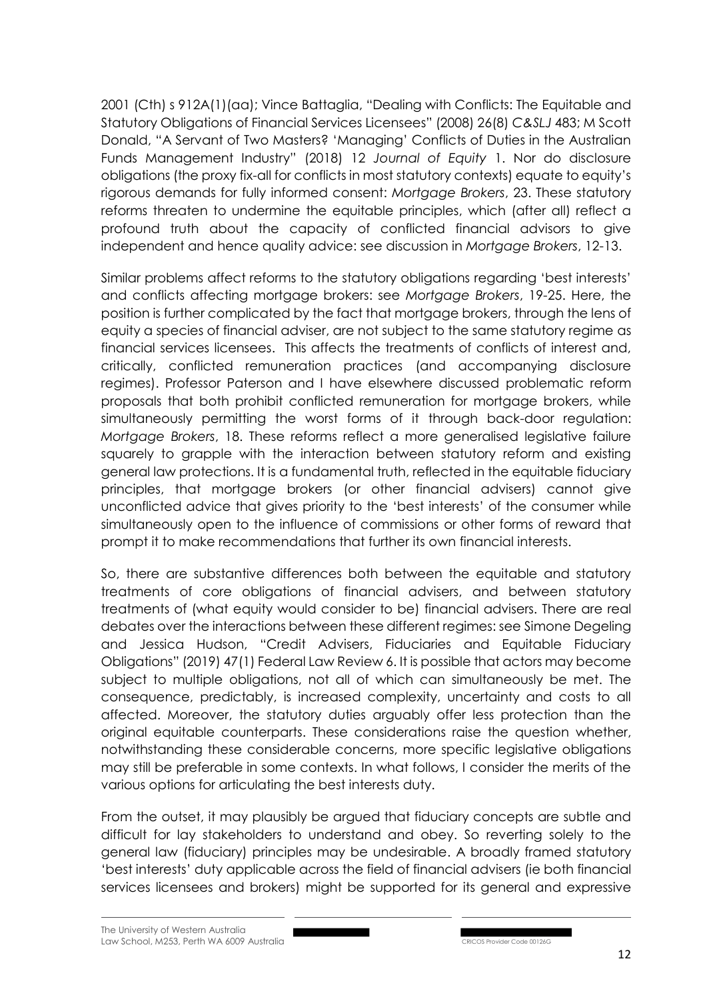2001 (Cth) s 912A(1)(aa); Vince Battaglia, "Dealing with Conflicts: The Equitable and Statutory Obligations of Financial Services Licensees" (2008) 26(8) *C&SLJ* 483; M Scott Donald, "A Servant of Two Masters? 'Managing' Conflicts of Duties in the Australian Funds Management Industry" (2018) 12 *Journal of Equity* 1. Nor do disclosure obligations (the proxy fix-all for conflicts in most statutory contexts) equate to equity's rigorous demands for fully informed consent: *Mortgage Brokers*, 23. These statutory reforms threaten to undermine the equitable principles, which (after all) reflect a profound truth about the capacity of conflicted financial advisors to give independent and hence quality advice: see discussion in *Mortgage Brokers*, 12-13.

Similar problems affect reforms to the statutory obligations regarding 'best interests' and conflicts affecting mortgage brokers: see *Mortgage Brokers*, 19-25. Here, the position is further complicated by the fact that mortgage brokers, through the lens of equity a species of financial adviser, are not subject to the same statutory regime as financial services licensees. This affects the treatments of conflicts of interest and, critically, conflicted remuneration practices (and accompanying disclosure regimes). Professor Paterson and I have elsewhere discussed problematic reform proposals that both prohibit conflicted remuneration for mortgage brokers, while simultaneously permitting the worst forms of it through back-door regulation: *Mortgage Brokers*, 18. These reforms reflect a more generalised legislative failure squarely to grapple with the interaction between statutory reform and existing general law protections. It is a fundamental truth, reflected in the equitable fiduciary principles, that mortgage brokers (or other financial advisers) cannot give unconflicted advice that gives priority to the 'best interests' of the consumer while simultaneously open to the influence of commissions or other forms of reward that prompt it to make recommendations that further its own financial interests.

So, there are substantive differences both between the equitable and statutory treatments of core obligations of financial advisers, and between statutory treatments of (what equity would consider to be) financial advisers. There are real debates over the interactions between these different regimes: see Simone Degeling and Jessica Hudson, "Credit Advisers, Fiduciaries and Equitable Fiduciary Obligations" (2019) 47(1) Federal Law Review 6. It is possible that actors may become subject to multiple obligations, not all of which can simultaneously be met. The consequence, predictably, is increased complexity, uncertainty and costs to all affected. Moreover, the statutory duties arguably offer less protection than the original equitable counterparts. These considerations raise the question whether, notwithstanding these considerable concerns, more specific legislative obligations may still be preferable in some contexts. In what follows, I consider the merits of the various options for articulating the best interests duty.

From the outset, it may plausibly be argued that fiduciary concepts are subtle and difficult for lay stakeholders to understand and obey. So reverting solely to the general law (fiduciary) principles may be undesirable. A broadly framed statutory 'best interests' duty applicable across the field of financial advisers (ie both financial services licensees and brokers) might be supported for its general and expressive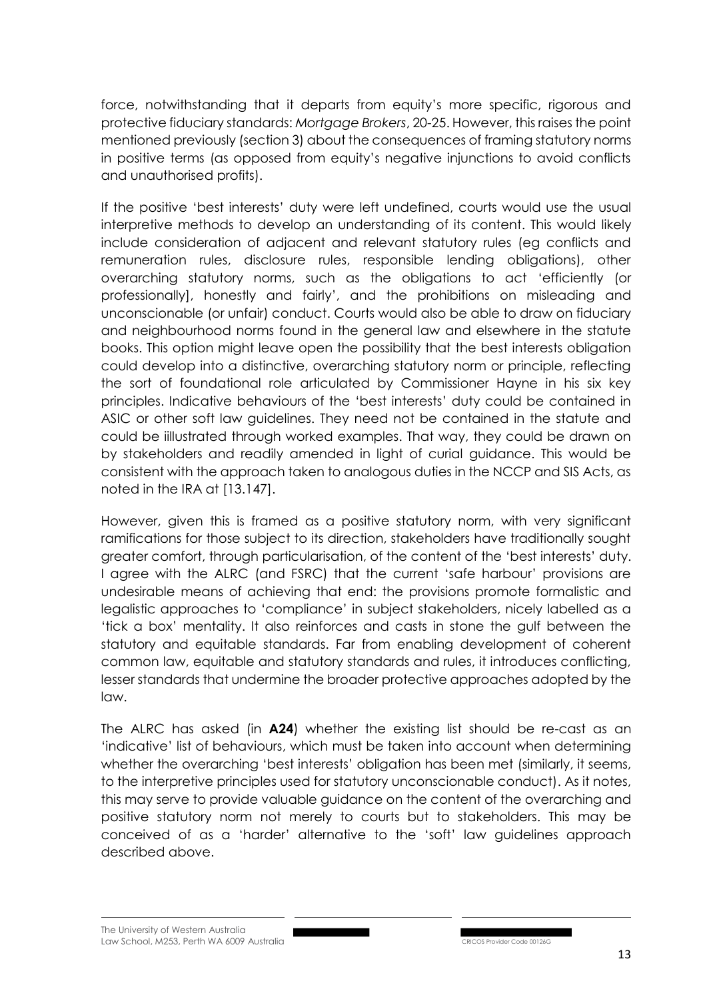force, notwithstanding that it departs from equity's more specific, rigorous and protective fiduciary standards: *Mortgage Brokers*, 20-25. However, this raises the point mentioned previously (section 3) about the consequences of framing statutory norms in positive terms (as opposed from equity's negative injunctions to avoid conflicts and unauthorised profits).

If the positive 'best interests' duty were left undefined, courts would use the usual interpretive methods to develop an understanding of its content. This would likely include consideration of adjacent and relevant statutory rules (eg conflicts and remuneration rules, disclosure rules, responsible lending obligations), other overarching statutory norms, such as the obligations to act 'efficiently (or professionally], honestly and fairly', and the prohibitions on misleading and unconscionable (or unfair) conduct. Courts would also be able to draw on fiduciary and neighbourhood norms found in the general law and elsewhere in the statute books. This option might leave open the possibility that the best interests obligation could develop into a distinctive, overarching statutory norm or principle, reflecting the sort of foundational role articulated by Commissioner Hayne in his six key principles. Indicative behaviours of the 'best interests' duty could be contained in ASIC or other soft law guidelines. They need not be contained in the statute and could be iillustrated through worked examples. That way, they could be drawn on by stakeholders and readily amended in light of curial guidance. This would be consistent with the approach taken to analogous duties in the NCCP and SIS Acts, as noted in the IRA at [13.147].

However, given this is framed as a positive statutory norm, with very significant ramifications for those subject to its direction, stakeholders have traditionally sought greater comfort, through particularisation, of the content of the 'best interests' duty. I agree with the ALRC (and FSRC) that the current 'safe harbour' provisions are undesirable means of achieving that end: the provisions promote formalistic and legalistic approaches to 'compliance' in subject stakeholders, nicely labelled as a 'tick a box' mentality. It also reinforces and casts in stone the gulf between the statutory and equitable standards. Far from enabling development of coherent common law, equitable and statutory standards and rules, it introduces conflicting, lesser standards that undermine the broader protective approaches adopted by the law.

The ALRC has asked (in **A24**) whether the existing list should be re-cast as an 'indicative' list of behaviours, which must be taken into account when determining whether the overarching 'best interests' obligation has been met (similarly, it seems, to the interpretive principles used for statutory unconscionable conduct). As it notes, this may serve to provide valuable guidance on the content of the overarching and positive statutory norm not merely to courts but to stakeholders. This may be conceived of as a 'harder' alternative to the 'soft' law guidelines approach described above.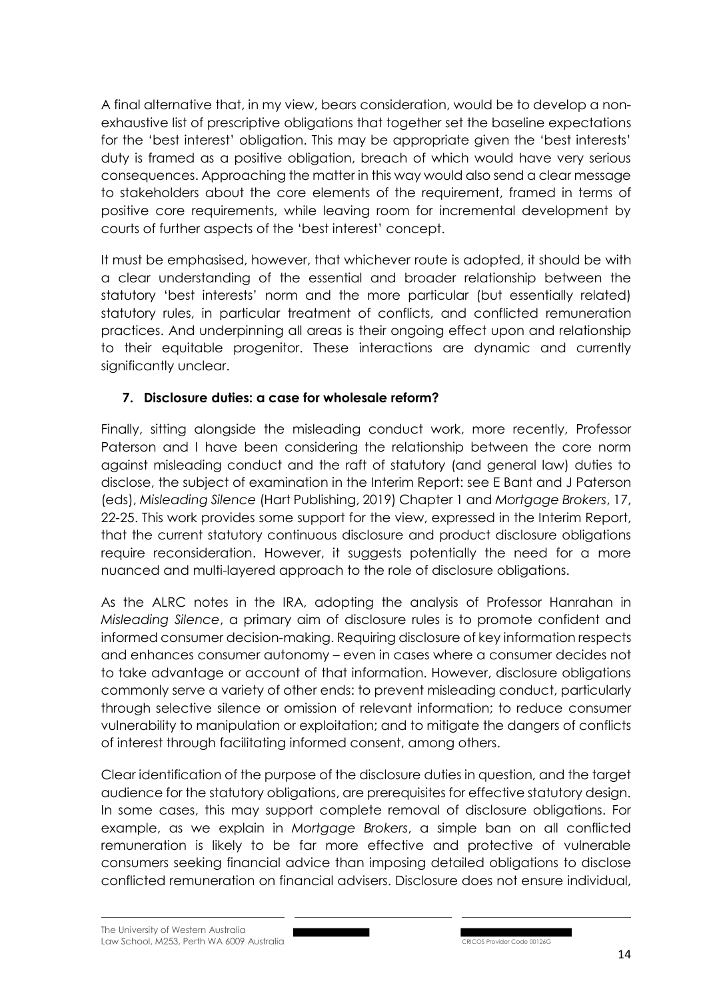A final alternative that, in my view, bears consideration, would be to develop a nonexhaustive list of prescriptive obligations that together set the baseline expectations for the 'best interest' obligation. This may be appropriate given the 'best interests' duty is framed as a positive obligation, breach of which would have very serious consequences. Approaching the matter in this way would also send a clear message to stakeholders about the core elements of the requirement, framed in terms of positive core requirements, while leaving room for incremental development by courts of further aspects of the 'best interest' concept.

It must be emphasised, however, that whichever route is adopted, it should be with a clear understanding of the essential and broader relationship between the statutory 'best interests' norm and the more particular (but essentially related) statutory rules, in particular treatment of conflicts, and conflicted remuneration practices. And underpinning all areas is their ongoing effect upon and relationship to their equitable progenitor. These interactions are dynamic and currently significantly unclear.

## **7. Disclosure duties: a case for wholesale reform?**

Finally, sitting alongside the misleading conduct work, more recently, Professor Paterson and I have been considering the relationship between the core norm against misleading conduct and the raft of statutory (and general law) duties to disclose, the subject of examination in the Interim Report: see E Bant and J Paterson (eds), *Misleading Silence* (Hart Publishing, 2019) Chapter 1 and *Mortgage Brokers*, 17, 22-25. This work provides some support for the view, expressed in the Interim Report, that the current statutory continuous disclosure and product disclosure obligations require reconsideration. However, it suggests potentially the need for a more nuanced and multi-layered approach to the role of disclosure obligations.

As the ALRC notes in the IRA, adopting the analysis of Professor Hanrahan in *Misleading Silence*, a primary aim of disclosure rules is to promote confident and informed consumer decision-making. Requiring disclosure of key information respects and enhances consumer autonomy – even in cases where a consumer decides not to take advantage or account of that information. However, disclosure obligations commonly serve a variety of other ends: to prevent misleading conduct, particularly through selective silence or omission of relevant information; to reduce consumer vulnerability to manipulation or exploitation; and to mitigate the dangers of conflicts of interest through facilitating informed consent, among others.

Clear identification of the purpose of the disclosure duties in question, and the target audience for the statutory obligations, are prerequisites for effective statutory design. In some cases, this may support complete removal of disclosure obligations. For example, as we explain in *Mortgage Brokers*, a simple ban on all conflicted remuneration is likely to be far more effective and protective of vulnerable consumers seeking financial advice than imposing detailed obligations to disclose conflicted remuneration on financial advisers. Disclosure does not ensure individual,